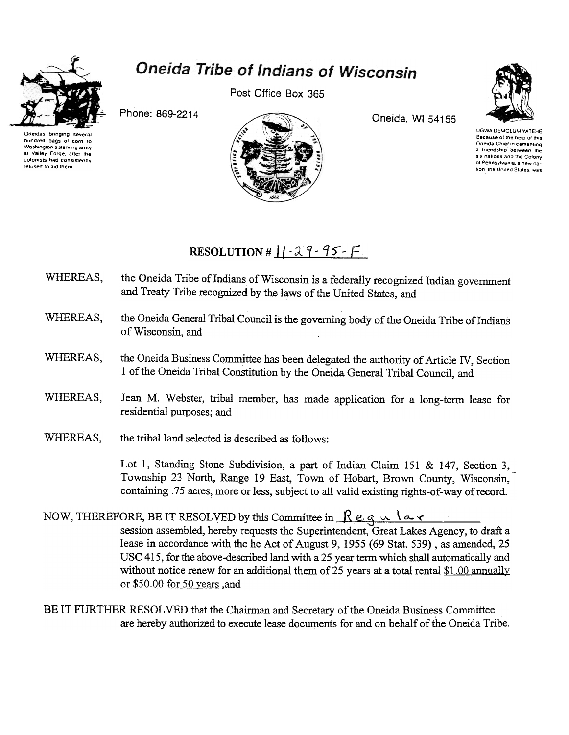

hundred bags of corn to

Washington's starving army

at Valley Forge, after the

colonists had consistently

refused to aid them

## Oneida Tribe of Indians of Wisconsin

Post Office Box 365



Phone: 869-2214



Oneida, WI 54155

UGWA DEMOLUM YATEHE Because of the help of this Oneida Chief in cementing a friendship between the six nations and the Colony of Pennsylvania a new nation, the United States, was

## RESOLUTION #  $||\cdot 29 - 95 - F||$

- the Oneida Tribe of Indians of Wisconsin is a federally recognized Indian government WHEREAS, and Treaty Tribe recognized by the laws of the United States, and
- WHEREAS. the Oneida General Tribal Council is the governing body of the Oneida Tribe of Indians of Wisconsin, and
- the Oneida Business Committee has been delegated the authority of Article IV, Section WHEREAS, 1 of the Oneida Tribal Constitution by the Oneida General Tribal Council, and
- WHEREAS. Jean M. Webster, tribal member, has made application for a long-term lease for residential purposes; and
- WHEREAS. the tribal land selected is described as follows:

Lot 1, Standing Stone Subdivision, a part of Indian Claim 151 & 147, Section 3, Township 23 North, Range 19 East, Town of Hobart, Brown County, Wisconsin, containing .75 acres, more or less, subject to all valid existing rights-of-way of record.

NOW, THEREFORE, BE IT RESOLVED by this Committee in  $\mathcal{R}$  eq  $\mathcal{R}$  av session assembled, hereby requests the Superintendent, Great Lakes Agency, to draft a lease in accordance with the he Act of August 9, 1955 (69 Stat. 539), as amended, 25 USC 415, for the above-described land with a 25 year term which shall automatically and without notice renew for an additional them of 25 years at a total rental \$1.00 annually or \$50.00 for 50 years ,and

BE IT FURTHER RESOLVED that the Chairman and Secretary of the Oneida Business Committee are hereby authorized to execute lease documents for and on behalf of the Oneida Tribe.